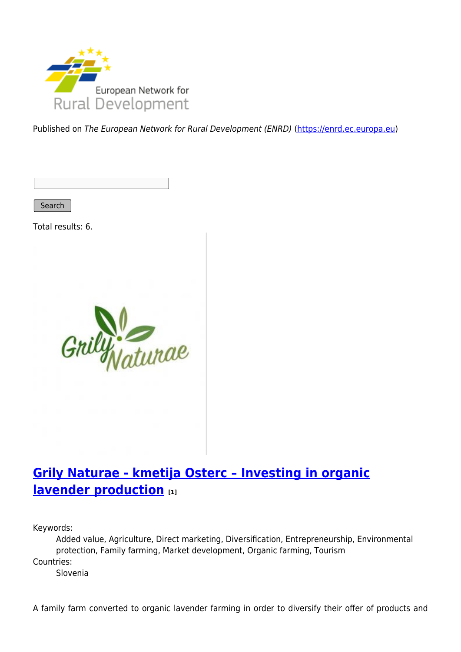

Published on The European Network for Rural Development (ENRD) [\(https://enrd.ec.europa.eu](https://enrd.ec.europa.eu))

Search

Total results: 6.



### **[Grily Naturae - kmetija Osterc – Investing in organic](https://enrd.ec.europa.eu/projects-practice/grily-naturae-kmetija-osterc-investing-organic-lavender-production_en) [lavender production](https://enrd.ec.europa.eu/projects-practice/grily-naturae-kmetija-osterc-investing-organic-lavender-production_en) [1]**

Keywords:

Added value, Agriculture, Direct marketing, Diversification, Entrepreneurship, Environmental protection, Family farming, Market development, Organic farming, Tourism Countries:

Slovenia

A family farm converted to organic lavender farming in order to diversify their offer of products and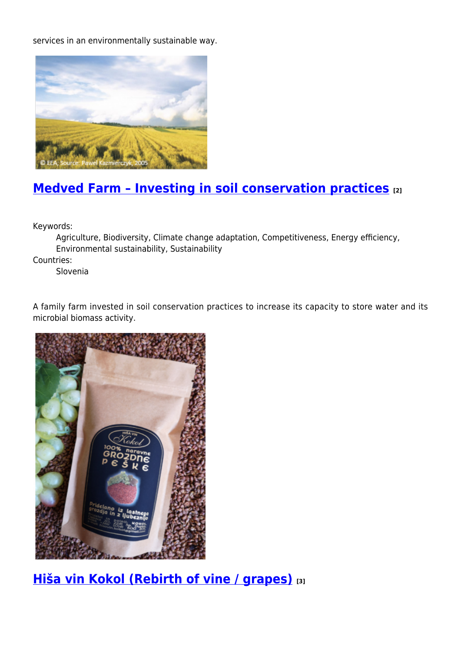services in an environmentally sustainable way.



## **[Medved Farm – Investing in soil conservation practices](https://enrd.ec.europa.eu/projects-practice/medved-farm-investing-soil-conservation-practices_en) [2]**

Keywords:

Agriculture, Biodiversity, Climate change adaptation, Competitiveness, Energy efficiency, Environmental sustainability, Sustainability

Countries:

Slovenia

A family farm invested in soil conservation practices to increase its capacity to store water and its microbial biomass activity.



**[Hiša vin Kokol \(Rebirth of vine / grapes\)](https://enrd.ec.europa.eu/projects-practice/hisa-vin-kokol-rebirth-vine-grapes_en) [3]**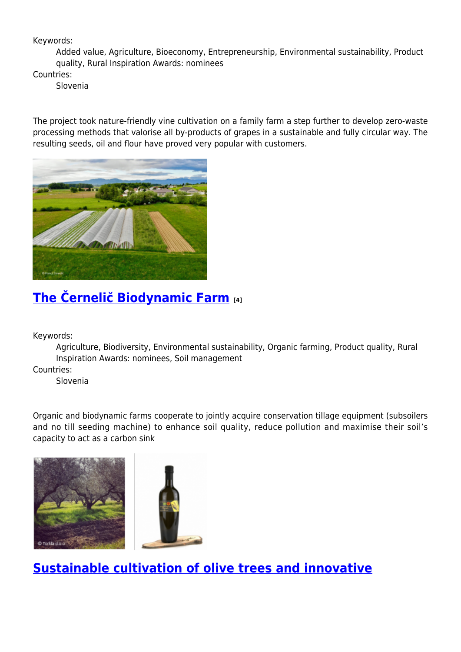#### Keywords:

Added value, Agriculture, Bioeconomy, Entrepreneurship, Environmental sustainability, Product quality, Rural Inspiration Awards: nominees

Countries:

Slovenia

The project took nature-friendly vine cultivation on a family farm a step further to develop zero-waste processing methods that valorise all by-products of grapes in a sustainable and fully circular way. The resulting seeds, oil and flour have proved very popular with customers.



# **[The Černelič Biodynamic Farm](https://enrd.ec.europa.eu/projects-practice/cernelic-biodynamic-farm-0_en) [4]**

Keywords:

Agriculture, Biodiversity, Environmental sustainability, Organic farming, Product quality, Rural Inspiration Awards: nominees, Soil management

Countries:

Slovenia

Organic and biodynamic farms cooperate to jointly acquire conservation tillage equipment (subsoilers and no till seeding machine) to enhance soil quality, reduce pollution and maximise their soil's capacity to act as a carbon sink





#### **[Sustainable cultivation of olive trees and innovative](https://enrd.ec.europa.eu/projects-practice/sustainable-cultivation-olive-trees-and-innovative-extraction-olive-oil_en)**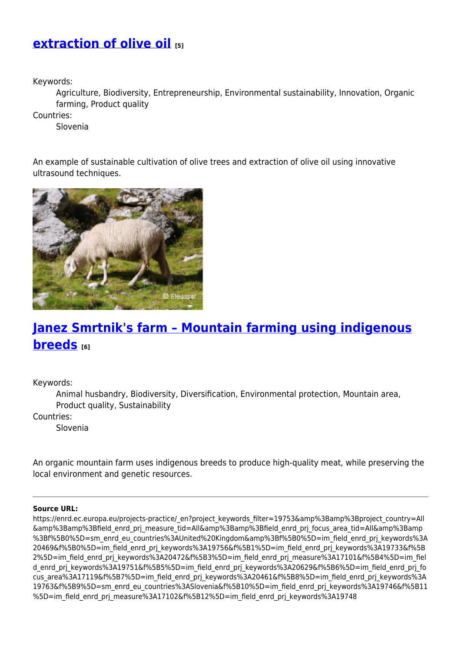#### **[extraction of olive oil](https://enrd.ec.europa.eu/projects-practice/sustainable-cultivation-olive-trees-and-innovative-extraction-olive-oil_en) [5]**

Keywords:

Agriculture, Biodiversity, Entrepreneurship, Environmental sustainability, Innovation, Organic farming, Product quality

Countries:

Slovenia

An example of sustainable cultivation of olive trees and extraction of olive oil using innovative ultrasound techniques.



### **[Janez Smrtnik's farm – Mountain farming using indigenous](https://enrd.ec.europa.eu/projects-practice/janez-smrtniks-farm-mountain-farming-using-indigenous-breeds_en) [breeds](https://enrd.ec.europa.eu/projects-practice/janez-smrtniks-farm-mountain-farming-using-indigenous-breeds_en) [6]**

Keywords:

Animal husbandry, Biodiversity, Diversification, Environmental protection, Mountain area, Product quality, Sustainability

Countries:

Slovenia

An organic mountain farm uses indigenous breeds to produce high-quality meat, while preserving the local environment and genetic resources.

#### **Source URL:**

https://enrd.ec.europa.eu/projects-practice/\_en?project\_keywords\_filter=19753&amp%3Bamp%3Bproject\_country=All &amp%3Bamp%3Bfield\_enrd\_prj\_measure\_tid=All&amp%3Bamp%3Bfield\_enrd\_prj\_focus\_area\_tid=All&amp%3Bamp %3Bf%5B0%5D=sm\_enrd\_eu\_countries%3AUnited%20Kingdom&amp%3Bf%5B0%5D=im\_field\_enrd\_prj\_keywords%3A 20469&f%5B0%5D=im\_field\_enrd\_prj\_keywords%3A19756&f%5B1%5D=im\_field\_enrd\_prj\_keywords%3A19733&f%5B 2%5D=im\_field\_enrd\_prj\_keywords%3A20472&f%5B3%5D=im\_field\_enrd\_prj\_measure%3A17101&f%5B4%5D=im\_fiel d\_enrd\_prj\_keywords%3A19751&f%5B5%5D=im\_field\_enrd\_prj\_keywords%3A20629&f%5B6%5D=im\_field\_enrd\_prj\_fo cus\_area%3A17119&f%5B7%5D=im\_field\_enrd\_prj\_keywords%3A20461&f%5B8%5D=im\_field\_enrd\_prj\_keywords%3A 19763&f%5B9%5D=sm\_enrd\_eu\_countries%3ASlovenia&f%5B10%5D=im\_field\_enrd\_prj\_keywords%3A19746&f%5B11 %5D=im\_field\_enrd\_prj\_measure%3A17102&f%5B12%5D=im\_field\_enrd\_prj\_keywords%3A19748